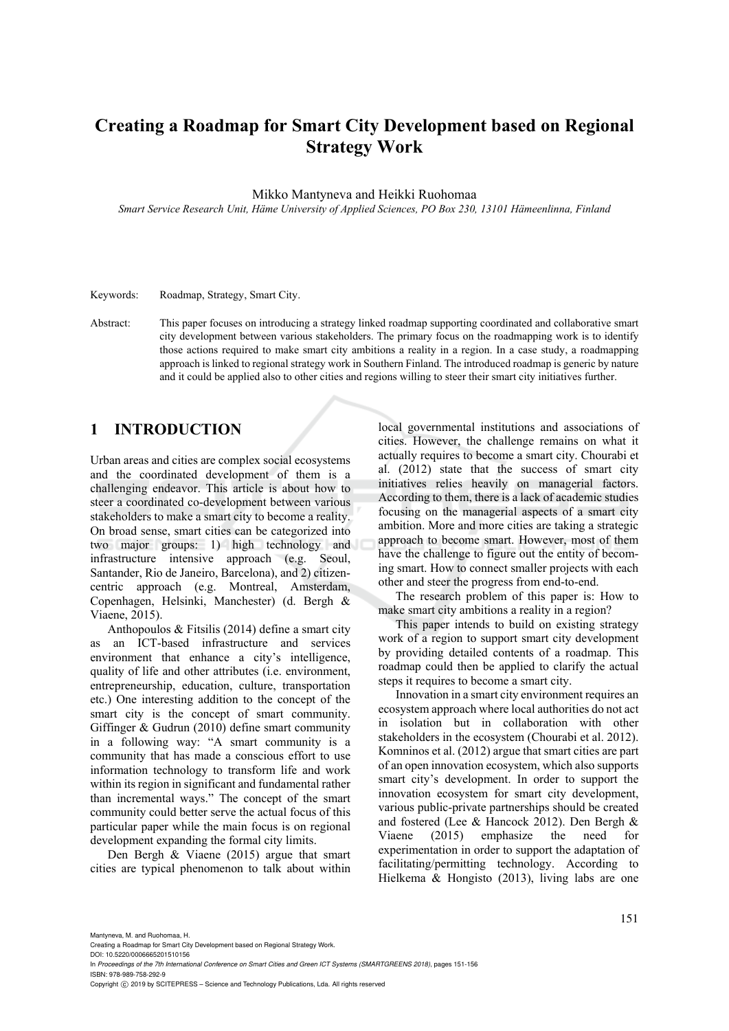# **Creating a Roadmap for Smart City Development based on Regional Strategy Work**

Mikko Mantyneva and Heikki Ruohomaa

*Smart Service Research Unit, Häme University of Applied Sciences, PO Box 230, 13101 Hämeenlinna, Finland* 

Keywords: Roadmap, Strategy, Smart City.

Abstract: This paper focuses on introducing a strategy linked roadmap supporting coordinated and collaborative smart city development between various stakeholders. The primary focus on the roadmapping work is to identify those actions required to make smart city ambitions a reality in a region. In a case study, a roadmapping approach is linked to regional strategy work in Southern Finland. The introduced roadmap is generic by nature and it could be applied also to other cities and regions willing to steer their smart city initiatives further.

## **1 INTRODUCTION**

Urban areas and cities are complex social ecosystems and the coordinated development of them is a challenging endeavor. This article is about how to steer a coordinated co-development between various stakeholders to make a smart city to become a reality. On broad sense, smart cities can be categorized into two major groups: 1) high technology and infrastructure intensive approach (e.g. Seoul, Santander, Rio de Janeiro, Barcelona), and 2) citizencentric approach (e.g. Montreal, Amsterdam, Copenhagen, Helsinki, Manchester) (d. Bergh & Viaene, 2015).

Anthopoulos & Fitsilis (2014) define a smart city as an ICT-based infrastructure and services environment that enhance a city's intelligence, quality of life and other attributes (i.e. environment, entrepreneurship, education, culture, transportation etc.) One interesting addition to the concept of the smart city is the concept of smart community. Giffinger & Gudrun (2010) define smart community in a following way: "A smart community is a community that has made a conscious effort to use information technology to transform life and work within its region in significant and fundamental rather than incremental ways." The concept of the smart community could better serve the actual focus of this particular paper while the main focus is on regional development expanding the formal city limits.

Den Bergh & Viaene (2015) argue that smart cities are typical phenomenon to talk about within

local governmental institutions and associations of cities. However, the challenge remains on what it actually requires to become a smart city. Chourabi et al. (2012) state that the success of smart city initiatives relies heavily on managerial factors. According to them, there is a lack of academic studies focusing on the managerial aspects of a smart city ambition. More and more cities are taking a strategic approach to become smart. However, most of them have the challenge to figure out the entity of becoming smart. How to connect smaller projects with each other and steer the progress from end-to-end.

The research problem of this paper is: How to make smart city ambitions a reality in a region?

This paper intends to build on existing strategy work of a region to support smart city development by providing detailed contents of a roadmap. This roadmap could then be applied to clarify the actual steps it requires to become a smart city.

Innovation in a smart city environment requires an ecosystem approach where local authorities do not act in isolation but in collaboration with other stakeholders in the ecosystem (Chourabi et al. 2012). Komninos et al. (2012) argue that smart cities are part of an open innovation ecosystem, which also supports smart city's development. In order to support the innovation ecosystem for smart city development, various public-private partnerships should be created and fostered (Lee & Hancock 2012). Den Bergh & Viaene (2015) emphasize the need for experimentation in order to support the adaptation of facilitating/permitting technology. According to Hielkema & Hongisto (2013), living labs are one

Mantyneva, M. and Ruohomaa, H.

DOI: 10.5220/0006665201510156 In *Proceedings of the 7th International Conference on Smart Cities and Green ICT Systems (SMARTGREENS 2018)*, pages 151-156 ISBN: 978-989-758-292-9

Copyright C 2019 by SCITEPRESS - Science and Technology Publications, Lda. All rights reserved

Creating a Roadmap for Smart City Development based on Regional Strategy Work.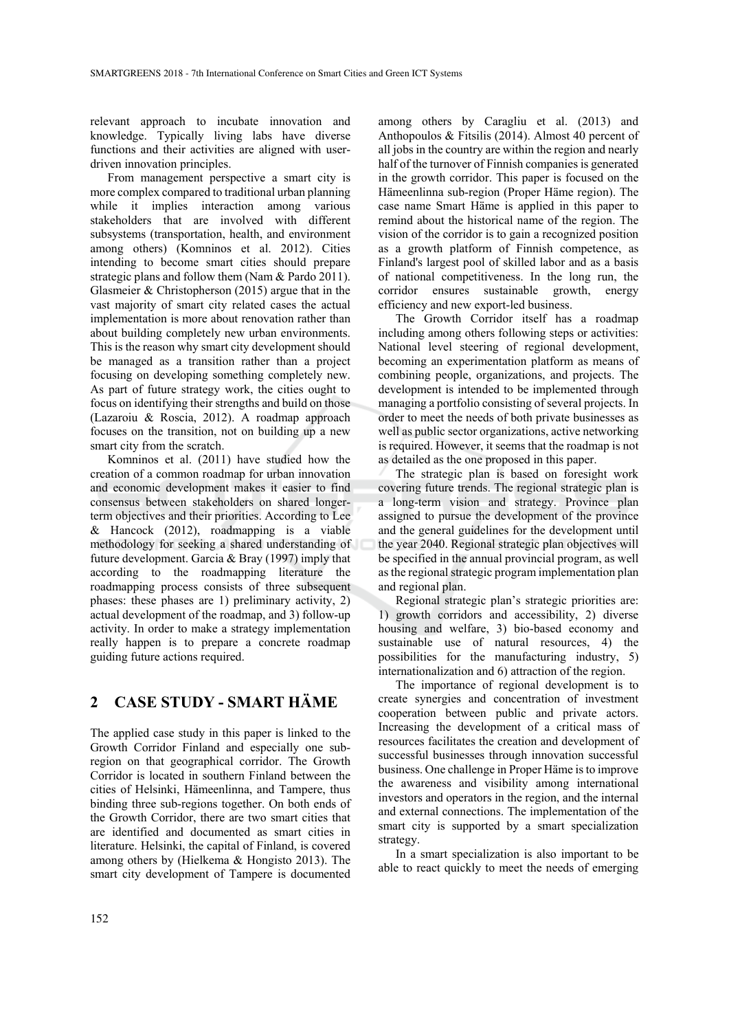relevant approach to incubate innovation and knowledge. Typically living labs have diverse functions and their activities are aligned with userdriven innovation principles.

From management perspective a smart city is more complex compared to traditional urban planning while it implies interaction among various stakeholders that are involved with different subsystems (transportation, health, and environment among others) (Komninos et al. 2012). Cities intending to become smart cities should prepare strategic plans and follow them (Nam & Pardo 2011). Glasmeier & Christopherson (2015) argue that in the vast majority of smart city related cases the actual implementation is more about renovation rather than about building completely new urban environments. This is the reason why smart city development should be managed as a transition rather than a project focusing on developing something completely new. As part of future strategy work, the cities ought to focus on identifying their strengths and build on those (Lazaroiu & Roscia, 2012). A roadmap approach focuses on the transition, not on building up a new smart city from the scratch.

Komninos et al. (2011) have studied how the creation of a common roadmap for urban innovation and economic development makes it easier to find consensus between stakeholders on shared longerterm objectives and their priorities. According to Lee & Hancock (2012), roadmapping is a viable methodology for seeking a shared understanding of future development. Garcia & Bray (1997) imply that according to the roadmapping literature the roadmapping process consists of three subsequent phases: these phases are 1) preliminary activity, 2) actual development of the roadmap, and 3) follow-up activity. In order to make a strategy implementation really happen is to prepare a concrete roadmap guiding future actions required.

### **2 CASE STUDY - SMART HÄME**

The applied case study in this paper is linked to the Growth Corridor Finland and especially one subregion on that geographical corridor. The Growth Corridor is located in southern Finland between the cities of Helsinki, Hämeenlinna, and Tampere, thus binding three sub-regions together. On both ends of the Growth Corridor, there are two smart cities that are identified and documented as smart cities in literature. Helsinki, the capital of Finland, is covered among others by (Hielkema & Hongisto 2013). The smart city development of Tampere is documented

among others by Caragliu et al. (2013) and Anthopoulos & Fitsilis (2014). Almost 40 percent of all jobs in the country are within the region and nearly half of the turnover of Finnish companies is generated in the growth corridor. This paper is focused on the Hämeenlinna sub-region (Proper Häme region). The case name Smart Häme is applied in this paper to remind about the historical name of the region. The vision of the corridor is to gain a recognized position as a growth platform of Finnish competence, as Finland's largest pool of skilled labor and as a basis of national competitiveness. In the long run, the corridor ensures sustainable growth, energy efficiency and new export-led business.

The Growth Corridor itself has a roadmap including among others following steps or activities: National level steering of regional development, becoming an experimentation platform as means of combining people, organizations, and projects. The development is intended to be implemented through managing a portfolio consisting of several projects. In order to meet the needs of both private businesses as well as public sector organizations, active networking is required. However, it seems that the roadmap is not as detailed as the one proposed in this paper.

The strategic plan is based on foresight work covering future trends. The regional strategic plan is a long-term vision and strategy. Province plan assigned to pursue the development of the province and the general guidelines for the development until the year 2040. Regional strategic plan objectives will be specified in the annual provincial program, as well as the regional strategic program implementation plan and regional plan.

Regional strategic plan's strategic priorities are: 1) growth corridors and accessibility, 2) diverse housing and welfare, 3) bio-based economy and sustainable use of natural resources, 4) the possibilities for the manufacturing industry, 5) internationalization and 6) attraction of the region.

The importance of regional development is to create synergies and concentration of investment cooperation between public and private actors. Increasing the development of a critical mass of resources facilitates the creation and development of successful businesses through innovation successful business. One challenge in Proper Häme is to improve the awareness and visibility among international investors and operators in the region, and the internal and external connections. The implementation of the smart city is supported by a smart specialization strategy.

In a smart specialization is also important to be able to react quickly to meet the needs of emerging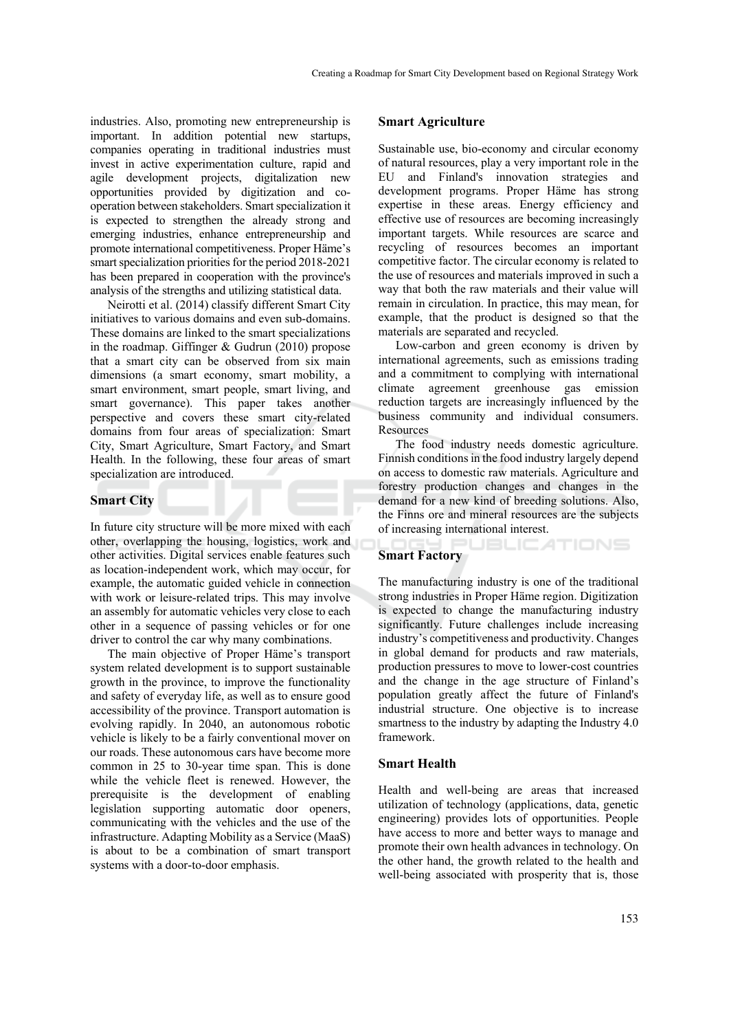industries. Also, promoting new entrepreneurship is important. In addition potential new startups, companies operating in traditional industries must invest in active experimentation culture, rapid and agile development projects, digitalization new opportunities provided by digitization and cooperation between stakeholders. Smart specialization it is expected to strengthen the already strong and emerging industries, enhance entrepreneurship and promote international competitiveness. Proper Häme's smart specialization priorities for the period 2018-2021 has been prepared in cooperation with the province's analysis of the strengths and utilizing statistical data.

Neirotti et al. (2014) classify different Smart City initiatives to various domains and even sub-domains. These domains are linked to the smart specializations in the roadmap. Giffinger & Gudrun (2010) propose that a smart city can be observed from six main dimensions (a smart economy, smart mobility, a smart environment, smart people, smart living, and smart governance). This paper takes another perspective and covers these smart city-related domains from four areas of specialization: Smart City, Smart Agriculture, Smart Factory, and Smart Health. In the following, these four areas of smart specialization are introduced.

### **Smart City**

In future city structure will be more mixed with each other, overlapping the housing, logistics, work and other activities. Digital services enable features such as location-independent work, which may occur, for example, the automatic guided vehicle in connection with work or leisure-related trips. This may involve an assembly for automatic vehicles very close to each other in a sequence of passing vehicles or for one driver to control the car why many combinations.

The main objective of Proper Häme's transport system related development is to support sustainable growth in the province, to improve the functionality and safety of everyday life, as well as to ensure good accessibility of the province. Transport automation is evolving rapidly. In 2040, an autonomous robotic vehicle is likely to be a fairly conventional mover on our roads. These autonomous cars have become more common in 25 to 30-year time span. This is done while the vehicle fleet is renewed. However, the prerequisite is the development of enabling legislation supporting automatic door openers, communicating with the vehicles and the use of the infrastructure. Adapting Mobility as a Service (MaaS) is about to be a combination of smart transport systems with a door-to-door emphasis.

### **Smart Agriculture**

Sustainable use, bio-economy and circular economy of natural resources, play a very important role in the EU and Finland's innovation strategies and development programs. Proper Häme has strong expertise in these areas. Energy efficiency and effective use of resources are becoming increasingly important targets. While resources are scarce and recycling of resources becomes an important competitive factor. The circular economy is related to the use of resources and materials improved in such a way that both the raw materials and their value will remain in circulation. In practice, this may mean, for example, that the product is designed so that the materials are separated and recycled.

Low-carbon and green economy is driven by international agreements, such as emissions trading and a commitment to complying with international climate agreement greenhouse gas emission reduction targets are increasingly influenced by the business community and individual consumers. Resources

The food industry needs domestic agriculture. Finnish conditions in the food industry largely depend on access to domestic raw materials. Agriculture and forestry production changes and changes in the demand for a new kind of breeding solutions. Also, the Finns ore and mineral resources are the subjects of increasing international interest.

# **Smart Factory**

The manufacturing industry is one of the traditional strong industries in Proper Häme region. Digitization is expected to change the manufacturing industry significantly. Future challenges include increasing industry's competitiveness and productivity. Changes in global demand for products and raw materials, production pressures to move to lower-cost countries and the change in the age structure of Finland's population greatly affect the future of Finland's industrial structure. One objective is to increase smartness to the industry by adapting the Industry 4.0 framework.

### **Smart Health**

Health and well-being are areas that increased utilization of technology (applications, data, genetic engineering) provides lots of opportunities. People have access to more and better ways to manage and promote their own health advances in technology. On the other hand, the growth related to the health and well-being associated with prosperity that is, those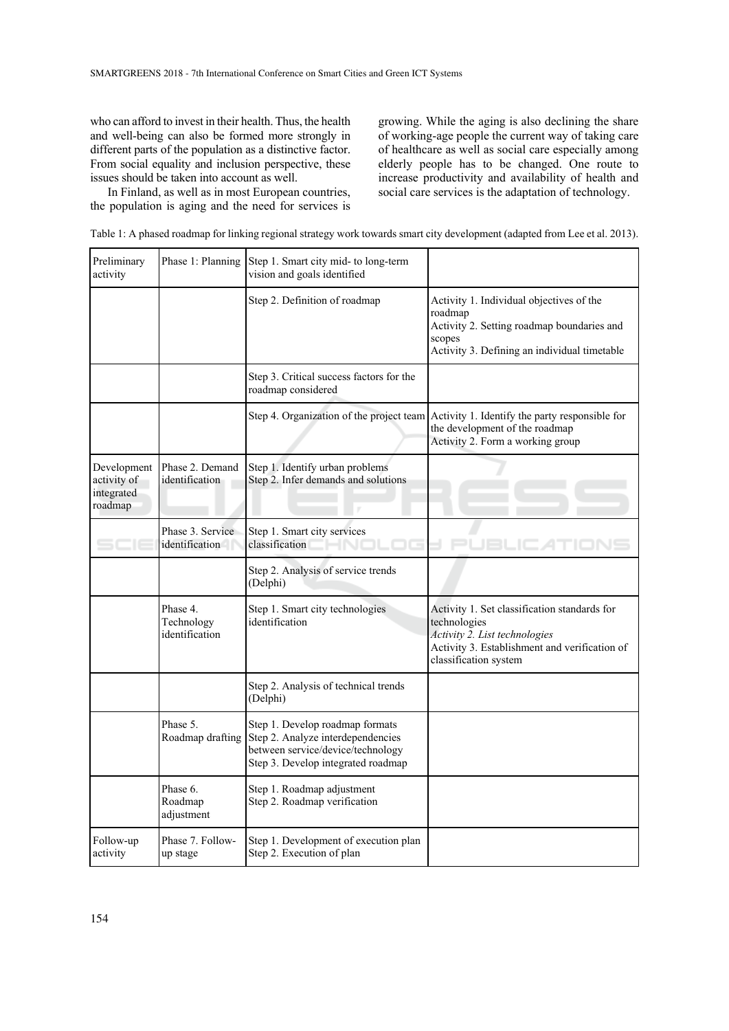who can afford to invest in their health. Thus, the health and well-being can also be formed more strongly in different parts of the population as a distinctive factor. From social equality and inclusion perspective, these issues should be taken into account as well.

In Finland, as well as in most European countries, the population is aging and the need for services is growing. While the aging is also declining the share of working-age people the current way of taking care of healthcare as well as social care especially among elderly people has to be changed. One route to increase productivity and availability of health and social care services is the adaptation of technology.

|  | Table 1: A phased roadmap for linking regional strategy work towards smart city development (adapted from Lee et al. 2013). |  |  |
|--|-----------------------------------------------------------------------------------------------------------------------------|--|--|
|  |                                                                                                                             |  |  |

| Preliminary<br>activity                             |                                          | Phase 1: Planning Step 1. Smart city mid- to long-term<br>vision and goals identified                                                           |                                                                                                                                                                         |
|-----------------------------------------------------|------------------------------------------|-------------------------------------------------------------------------------------------------------------------------------------------------|-------------------------------------------------------------------------------------------------------------------------------------------------------------------------|
|                                                     |                                          | Step 2. Definition of roadmap                                                                                                                   | Activity 1. Individual objectives of the<br>roadmap<br>Activity 2. Setting roadmap boundaries and<br>scopes<br>Activity 3. Defining an individual timetable             |
|                                                     |                                          | Step 3. Critical success factors for the<br>roadmap considered                                                                                  |                                                                                                                                                                         |
|                                                     |                                          |                                                                                                                                                 | Step 4. Organization of the project team Activity 1. Identify the party responsible for<br>the development of the roadmap<br>Activity 2. Form a working group           |
| Development<br>activity of<br>integrated<br>roadmap | Phase 2. Demand<br>identification        | Step 1. Identify urban problems<br>Step 2. Infer demands and solutions                                                                          |                                                                                                                                                                         |
|                                                     | Phase 3. Service<br>identification       | Step 1. Smart city services<br>classification                                                                                                   |                                                                                                                                                                         |
|                                                     |                                          | Step 2. Analysis of service trends<br>(Delphi)                                                                                                  |                                                                                                                                                                         |
|                                                     | Phase 4.<br>Technology<br>identification | Step 1. Smart city technologies<br>identification                                                                                               | Activity 1. Set classification standards for<br>technologies<br>Activity 2. List technologies<br>Activity 3. Establishment and verification of<br>classification system |
|                                                     |                                          | Step 2. Analysis of technical trends<br>(Delphi)                                                                                                |                                                                                                                                                                         |
|                                                     | Phase 5.<br>Roadmap drafting             | Step 1. Develop roadmap formats<br>Step 2. Analyze interdependencies<br>between service/device/technology<br>Step 3. Develop integrated roadmap |                                                                                                                                                                         |
|                                                     | Phase 6.<br>Roadmap<br>adjustment        | Step 1. Roadmap adjustment<br>Step 2. Roadmap verification                                                                                      |                                                                                                                                                                         |
| Follow-up<br>activity                               | Phase 7. Follow-<br>up stage             | Step 1. Development of execution plan<br>Step 2. Execution of plan                                                                              |                                                                                                                                                                         |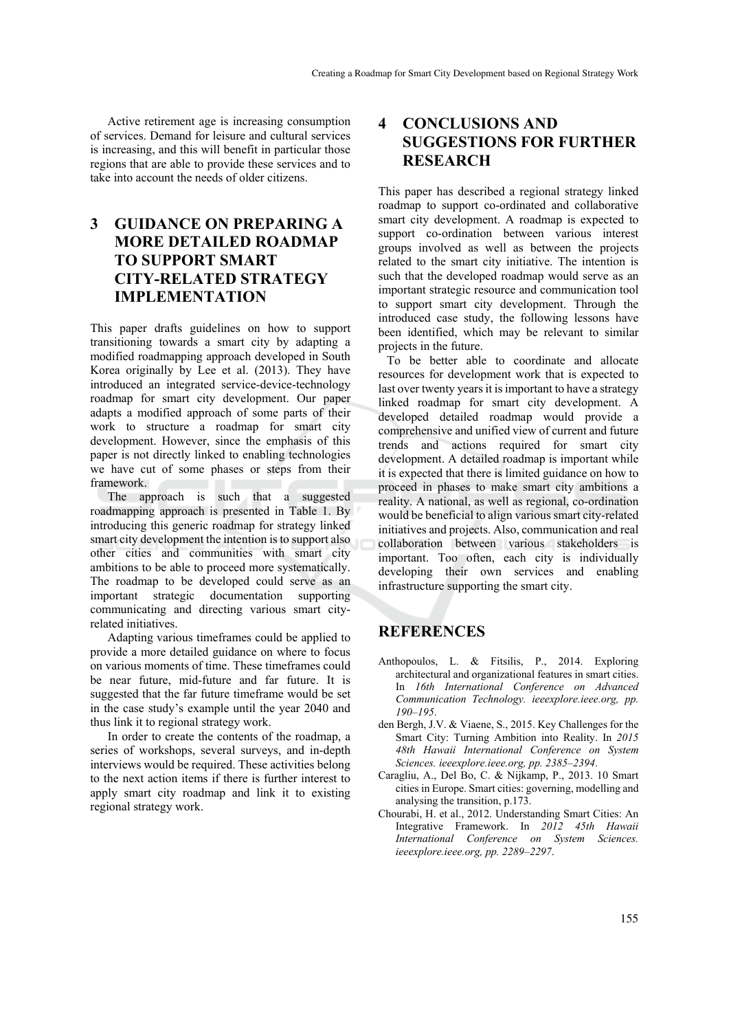Active retirement age is increasing consumption of services. Demand for leisure and cultural services is increasing, and this will benefit in particular those regions that are able to provide these services and to take into account the needs of older citizens.

## **3 GUIDANCE ON PREPARING A MORE DETAILED ROADMAP TO SUPPORT SMART CITY-RELATED STRATEGY IMPLEMENTATION**

This paper drafts guidelines on how to support transitioning towards a smart city by adapting a modified roadmapping approach developed in South Korea originally by Lee et al. (2013). They have introduced an integrated service-device-technology roadmap for smart city development. Our paper adapts a modified approach of some parts of their work to structure a roadmap for smart city development. However, since the emphasis of this paper is not directly linked to enabling technologies we have cut of some phases or steps from their framework.

The approach is such that a suggested roadmapping approach is presented in Table 1. By introducing this generic roadmap for strategy linked smart city development the intention is to support also other cities and communities with smart city ambitions to be able to proceed more systematically. The roadmap to be developed could serve as an important strategic documentation supporting communicating and directing various smart cityrelated initiatives.

Adapting various timeframes could be applied to provide a more detailed guidance on where to focus on various moments of time. These timeframes could be near future, mid-future and far future. It is suggested that the far future timeframe would be set in the case study's example until the year 2040 and thus link it to regional strategy work.

In order to create the contents of the roadmap, a series of workshops, several surveys, and in-depth interviews would be required. These activities belong to the next action items if there is further interest to apply smart city roadmap and link it to existing regional strategy work.

## **4 CONCLUSIONS AND SUGGESTIONS FOR FURTHER RESEARCH**

This paper has described a regional strategy linked roadmap to support co-ordinated and collaborative smart city development. A roadmap is expected to support co-ordination between various interest groups involved as well as between the projects related to the smart city initiative. The intention is such that the developed roadmap would serve as an important strategic resource and communication tool to support smart city development. Through the introduced case study, the following lessons have been identified, which may be relevant to similar projects in the future.

To be better able to coordinate and allocate resources for development work that is expected to last over twenty years it is important to have a strategy linked roadmap for smart city development. A developed detailed roadmap would provide a comprehensive and unified view of current and future trends and actions required for smart city development. A detailed roadmap is important while it is expected that there is limited guidance on how to proceed in phases to make smart city ambitions a reality. A national, as well as regional, co-ordination would be beneficial to align various smart city-related initiatives and projects. Also, communication and real collaboration between various stakeholders is important. Too often, each city is individually developing their own services and enabling infrastructure supporting the smart city.

# **REFERENCES**

- Anthopoulos, L. & Fitsilis, P., 2014. Exploring architectural and organizational features in smart cities. In *16th International Conference on Advanced Communication Technology. ieeexplore.ieee.org, pp. 190–195*.
- den Bergh, J.V. & Viaene, S., 2015. Key Challenges for the Smart City: Turning Ambition into Reality. In *2015 48th Hawaii International Conference on System Sciences. ieeexplore.ieee.org, pp. 2385–2394*.
- Caragliu, A., Del Bo, C. & Nijkamp, P., 2013. 10 Smart cities in Europe. Smart cities: governing, modelling and analysing the transition, p.173.
- Chourabi, H. et al., 2012. Understanding Smart Cities: An Integrative Framework. In *2012 45th Hawaii International Conference on System Sciences. ieeexplore.ieee.org, pp. 2289–2297*.